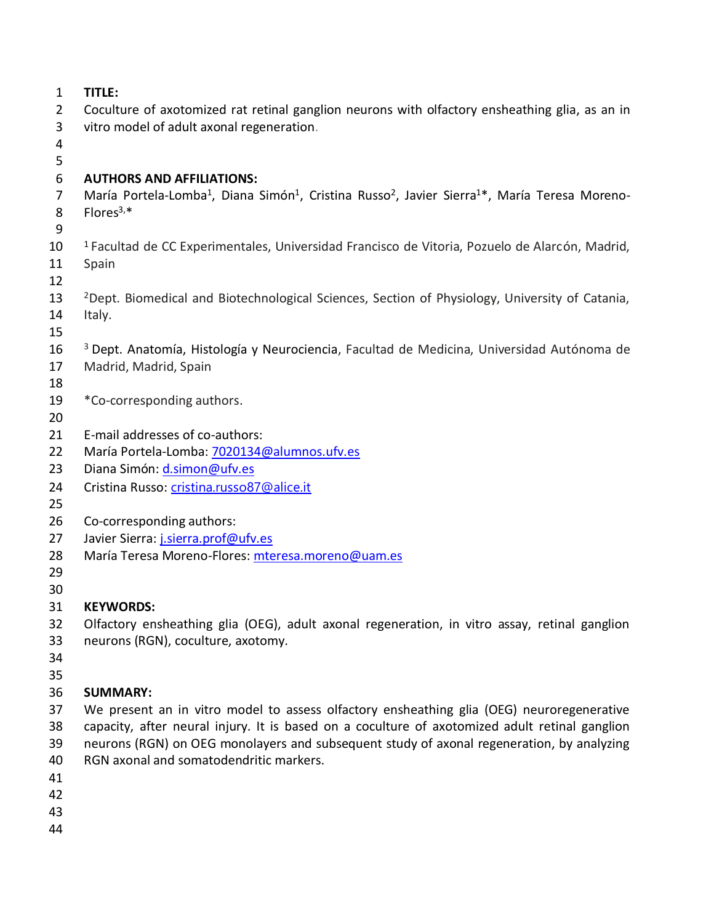| 1              | TITLE:                                                                                                                                         |
|----------------|------------------------------------------------------------------------------------------------------------------------------------------------|
| $\overline{2}$ | Coculture of axotomized rat retinal ganglion neurons with olfactory ensheathing glia, as an in                                                 |
| 3              | vitro model of adult axonal regeneration.                                                                                                      |
| 4              |                                                                                                                                                |
| 5              |                                                                                                                                                |
| 6              | <b>AUTHORS AND AFFILIATIONS:</b>                                                                                                               |
| $\overline{7}$ | María Portela-Lomba <sup>1</sup> , Diana Simón <sup>1</sup> , Cristina Russo <sup>2</sup> , Javier Sierra <sup>1*</sup> , María Teresa Moreno- |
| 8              | Flores $3,*$                                                                                                                                   |
| 9              |                                                                                                                                                |
| 10             | <sup>1</sup> Facultad de CC Experimentales, Universidad Francisco de Vitoria, Pozuelo de Alarcón, Madrid,                                      |
| 11             | Spain                                                                                                                                          |
| 12             |                                                                                                                                                |
| 13             | <sup>2</sup> Dept. Biomedical and Biotechnological Sciences, Section of Physiology, University of Catania,                                     |
| 14             | Italy.                                                                                                                                         |
| 15             |                                                                                                                                                |
| 16             | <sup>3</sup> Dept. Anatomía, Histología y Neurociencia, Facultad de Medicina, Universidad Autónoma de                                          |
| 17             | Madrid, Madrid, Spain                                                                                                                          |
| 18             |                                                                                                                                                |
| 19             | *Co-corresponding authors.                                                                                                                     |
| 20             |                                                                                                                                                |
| 21             | E-mail addresses of co-authors:                                                                                                                |
| 22             | María Portela-Lomba: 7020134@alumnos.ufv.es                                                                                                    |
| 23             | Diana Simón: d.simon@ufv.es                                                                                                                    |
| 24             | Cristina Russo: cristina.russo87@alice.it                                                                                                      |
| 25<br>26       |                                                                                                                                                |
| 27             | Co-corresponding authors:<br>Javier Sierra: j.sierra.prof@ufv.es                                                                               |
| 28             | María Teresa Moreno-Flores: mteresa.moreno@uam.es                                                                                              |
| 29             |                                                                                                                                                |
| 30             |                                                                                                                                                |
| 31             | <b>KEYWORDS:</b>                                                                                                                               |
| 32             | Olfactory ensheathing glia (OEG), adult axonal regeneration, in vitro assay, retinal ganglion                                                  |
| 33             | neurons (RGN), coculture, axotomy.                                                                                                             |
| 34             |                                                                                                                                                |
| 35             |                                                                                                                                                |
| 36             | <b>SUMMARY:</b>                                                                                                                                |
| 37             | We present an in vitro model to assess olfactory ensheathing glia (OEG) neuroregenerative                                                      |
| 38             | capacity, after neural injury. It is based on a coculture of axotomized adult retinal ganglion                                                 |

- neurons (RGN) on OEG monolayers and subsequent study of axonal regeneration, by analyzing
- RGN axonal and somatodendritic markers.
- 
- 
- 
-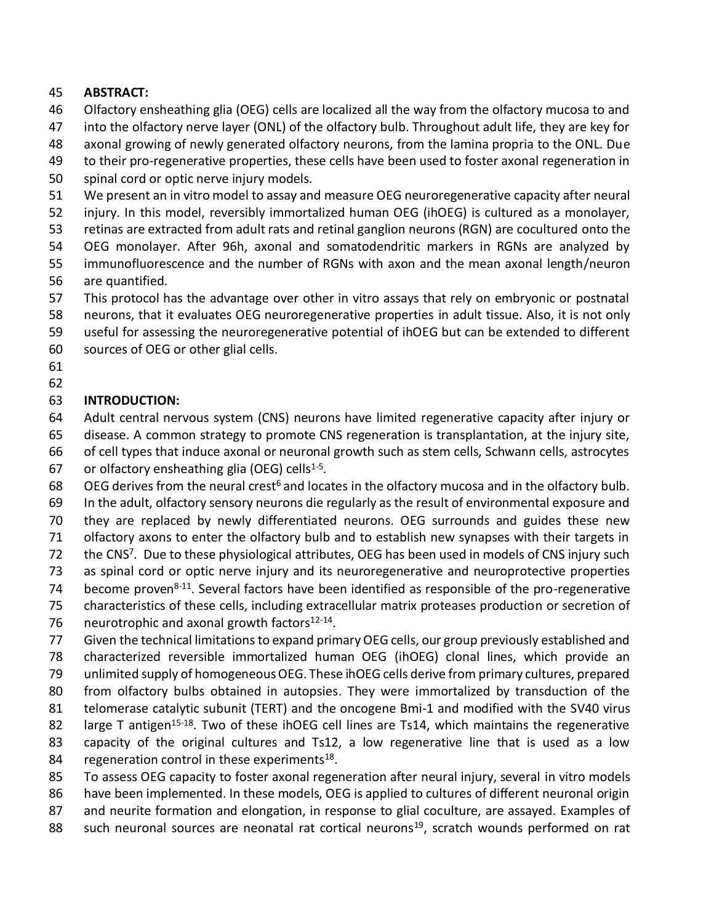## **ABSTRACT:**

- Olfactory ensheathing glia (OEG) cells are localized all the way from the olfactory mucosa to and
- into the olfactory nerve layer (ONL) of the olfactory bulb. Throughout adult life, they are key for
- axonal growing of newly generated olfactory neurons, from the lamina propria to the ONL. Due
- to their pro-regenerative properties, these cells have been used to foster axonal regeneration in
- spinal cord or optic nerve injury models.
- We present an in vitro model to assay and measure OEG neuroregenerative capacity after neural
- injury. In this model, reversibly immortalized human OEG (ihOEG) is cultured as a monolayer,
- retinas are extracted from adult rats and retinal ganglion neurons (RGN) are cocultured onto the
- OEG monolayer. After 96h, axonal and somatodendritic markers in RGNs are analyzed by immunofluorescence and the number of RGNs with axon and the mean axonal length/neuron
- are quantified.
- This protocol has the advantage over other in vitro assays that rely on embryonic or postnatal
- neurons, that it evaluates OEG neuroregenerative properties in adult tissue. Also, it is not only
- useful for assessing the neuroregenerative potential of ihOEG but can be extended to different
- sources of OEG or other glial cells.
- 

# **INTRODUCTION:**

- Adult central nervous system (CNS) neurons have limited regenerative capacity after injury or disease. A common strategy to promote CNS regeneration is transplantation, at the injury site,
- of cell types that induce axonal or neuronal growth such as stem cells, Schwann cells, astrocytes
- 67 or olfactory ensheathing glia (OEG) cells<sup>1-5</sup>.
- 68 OEG derives from the neural crest<sup>6</sup> and locates in the olfactory mucosa and in the olfactory bulb.
- In the adult, olfactory sensory neurons die regularly as the result of environmental exposure and
- they are replaced by newly differentiated neurons. OEG surrounds and guides these new
- olfactory axons to enter the olfactory bulb and to establish new synapses with their targets in
- 72 the CNS<sup>7</sup>. Due to these physiological attributes, OEG has been used in models of CNS injury such
- as spinal cord or optic nerve injury and its neuroregenerative and neuroprotective properties
- 74 become proven<sup>8-11</sup>. Several factors have been identified as responsible of the pro-regenerative
- characteristics of these cells, including extracellular matrix proteases production or secretion of
- 76 neurotrophic and axonal growth factors $12-14$ .
- Given the technical limitations to expand primary OEG cells, our group previously established and characterized reversible immortalized human OEG (ihOEG) clonal lines, which provide an unlimited supply of homogeneous OEG. These ihOEG cells derive from primary cultures, prepared from olfactory bulbs obtained in autopsies. They were immortalized by transduction of the telomerase catalytic subunit (TERT) and the oncogene Bmi-1 and modified with the SV40 virus 82 large T antigen<sup>15-18</sup>. Two of these ihOEG cell lines are Ts14, which maintains the regenerative capacity of the original cultures and Ts12, a low regenerative line that is used as a low
- 84 regeneration control in these experiments.
- To assess OEG capacity to foster axonal regeneration after neural injury, several in vitro models
- have been implemented. In these models, OEG is applied to cultures of different neuronal origin and neurite formation and elongation, in response to glial coculture, are assayed. Examples of
- 88 such neuronal sources are neonatal rat cortical neurons<sup>19</sup>, scratch wounds performed on rat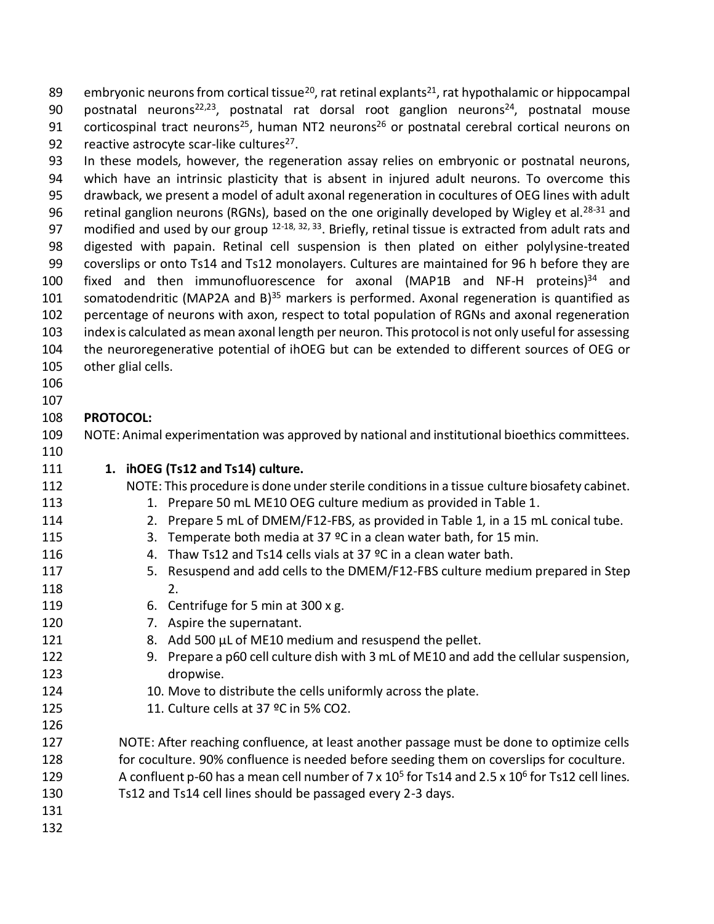89 embryonic neurons from cortical tissue<sup>20</sup>, rat retinal explants<sup>21</sup>, rat hypothalamic or hippocampal 90 postnatal neurons<sup>22,23</sup>, postnatal rat dorsal root ganglion neurons<sup>24</sup>, postnatal mouse 91 corticospinal tract neurons<sup>25</sup>, human NT2 neurons<sup>26</sup> or postnatal cerebral cortical neurons on 92 reactive astrocyte scar-like cultures.

 In these models, however, the regeneration assay relies on embryonic or postnatal neurons, which have an intrinsic plasticity that is absent in injured adult neurons. To overcome this drawback, we present a model of adult axonal regeneration in cocultures of OEG lines with adult 96 retinal ganglion neurons (RGNs), based on the one originally developed by Wigley et al.<sup>28-31</sup> and 97 modified and used by our group  $12-18$ ,  $32$ ,  $33$ . Briefly, retinal tissue is extracted from adult rats and digested with papain. Retinal cell suspension is then plated on either polylysine-treated coverslips or onto Ts14 and Ts12 monolayers. Cultures are maintained for 96 h before they are 100 fixed and then immunofluorescence for axonal (MAP1B and NF-H proteins) and 101 somatodendritic (MAP2A and B) $^{35}$  markers is performed. Axonal regeneration is quantified as percentage of neurons with axon, respect to total population of RGNs and axonal regeneration index is calculated as mean axonal length per neuron. This protocol is not only useful for assessing the neuroregenerative potential of ihOEG but can be extended to different sources of OEG or other glial cells.

- 
- 

#### **PROTOCOL:**

 NOTE: Animal experimentation was approved by national and institutional bioethics committees. 

### **1. ihOEG (Ts12 and Ts14) culture.**

NOTE: This procedure is done under sterile conditions in a tissue culture biosafety cabinet.

- 113 1. Prepare 50 mL ME10 OEG culture medium as provided in Table 1.
- 2. Prepare 5 mL of DMEM/F12-FBS, as provided in Table 1, in a 15 mL conical tube.
- 115 3. Temperate both media at 37 °C in a clean water bath, for 15 min.
- 4. Thaw Ts12 and Ts14 cells vials at 37 ºC in a clean water bath.
- 5. Resuspend and add cells to the DMEM/F12-FBS culture medium prepared in Step 2.
- 6. Centrifuge for 5 min at 300 x g.
- 7. Aspire the supernatant.
- 121 8. Add 500 µL of ME10 medium and resuspend the pellet.
- 9. Prepare a p60 cell culture dish with 3 mL of ME10 and add the cellular suspension, dropwise.
- 10. Move to distribute the cells uniformly across the plate.
- 125 11. Culture cells at 37 °C in 5% CO2.
- NOTE: After reaching confluence, at least another passage must be done to optimize cells for coculture. 90% confluence is needed before seeding them on coverslips for coculture. 129 A confluent p-60 has a mean cell number of 7 x 10<sup>5</sup> for Ts14 and 2.5 x 10<sup>6</sup> for Ts12 cell lines. Ts12 and Ts14 cell lines should be passaged every 2-3 days.
-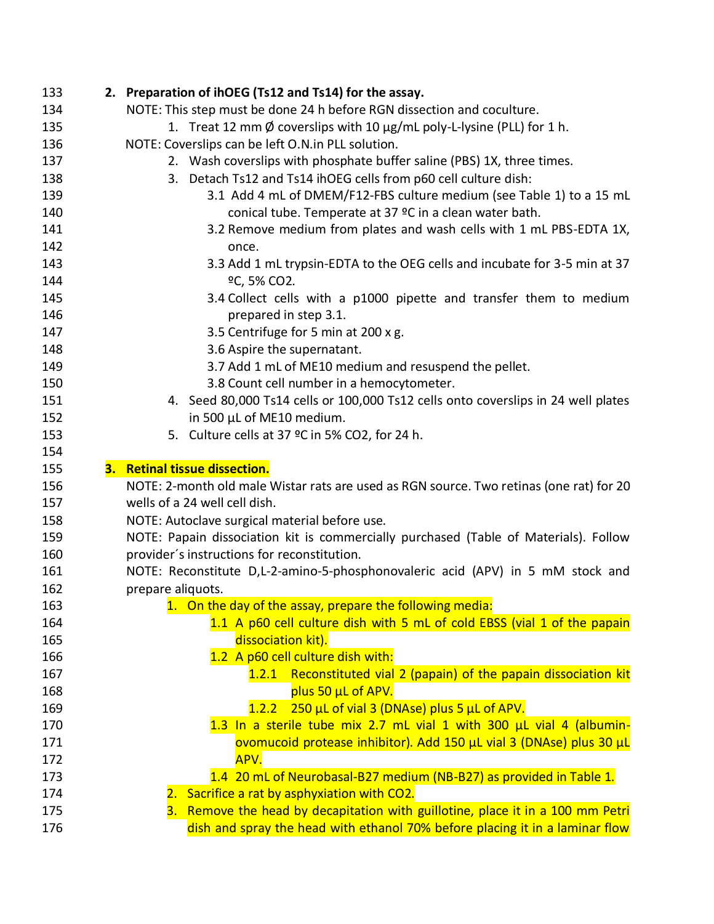| 133 | 2. Preparation of ihOEG (Ts12 and Ts14) for the assay.                                  |
|-----|-----------------------------------------------------------------------------------------|
| 134 | NOTE: This step must be done 24 h before RGN dissection and coculture.                  |
| 135 | 1. Treat 12 mm Ø coverslips with 10 μg/mL poly-L-lysine (PLL) for 1 h.                  |
| 136 | NOTE: Coverslips can be left O.N.in PLL solution.                                       |
| 137 | 2. Wash coverslips with phosphate buffer saline (PBS) 1X, three times.                  |
| 138 | Detach Ts12 and Ts14 ihOEG cells from p60 cell culture dish:<br>3.                      |
| 139 | 3.1 Add 4 mL of DMEM/F12-FBS culture medium (see Table 1) to a 15 mL                    |
| 140 | conical tube. Temperate at 37 °C in a clean water bath.                                 |
| 141 | 3.2 Remove medium from plates and wash cells with 1 mL PBS-EDTA 1X,                     |
| 142 | once.                                                                                   |
| 143 | 3.3 Add 1 mL trypsin-EDTA to the OEG cells and incubate for 3-5 min at 37               |
| 144 | ºC, 5% CO2.                                                                             |
| 145 | 3.4 Collect cells with a p1000 pipette and transfer them to medium                      |
| 146 | prepared in step 3.1.                                                                   |
| 147 | 3.5 Centrifuge for 5 min at 200 x g.                                                    |
| 148 | 3.6 Aspire the supernatant.                                                             |
| 149 | 3.7 Add 1 mL of ME10 medium and resuspend the pellet.                                   |
| 150 | 3.8 Count cell number in a hemocytometer.                                               |
| 151 | 4. Seed 80,000 Ts14 cells or 100,000 Ts12 cells onto coverslips in 24 well plates       |
| 152 | in 500 µL of ME10 medium.                                                               |
| 153 | 5. Culture cells at 37 °C in 5% CO2, for 24 h.                                          |
| 154 |                                                                                         |
|     |                                                                                         |
| 155 | 3. Retinal tissue dissection.                                                           |
| 156 | NOTE: 2-month old male Wistar rats are used as RGN source. Two retinas (one rat) for 20 |
| 157 | wells of a 24 well cell dish.                                                           |
| 158 | NOTE: Autoclave surgical material before use.                                           |
| 159 | NOTE: Papain dissociation kit is commercially purchased (Table of Materials). Follow    |
| 160 | provider's instructions for reconstitution.                                             |
| 161 | NOTE: Reconstitute D,L-2-amino-5-phosphonovaleric acid (APV) in 5 mM stock and          |
| 162 | prepare aliquots.                                                                       |
| 163 | 1. On the day of the assay, prepare the following media:                                |
| 164 | 1.1 A p60 cell culture dish with 5 mL of cold EBSS (vial 1 of the papain                |
| 165 | dissociation kit).                                                                      |
| 166 | 1.2 A p60 cell culture dish with:                                                       |
| 167 | 1.2.1 Reconstituted vial 2 (papain) of the papain dissociation kit                      |
| 168 | plus 50 µL of APV.                                                                      |
| 169 | 1.2.2 250 µL of vial 3 (DNAse) plus 5 µL of APV.                                        |
| 170 | 1.3 In a sterile tube mix 2.7 mL vial 1 with 300 µL vial 4 (albumin-                    |
| 171 | ovomucoid protease inhibitor). Add 150 µL vial 3 (DNAse) plus 30 µL                     |
| 172 | APV.                                                                                    |
| 173 | 1.4 20 mL of Neurobasal-B27 medium (NB-B27) as provided in Table 1.                     |
| 174 | 2. Sacrifice a rat by asphyxiation with CO2.                                            |
| 175 | 3. Remove the head by decapitation with guillotine, place it in a 100 mm Petri          |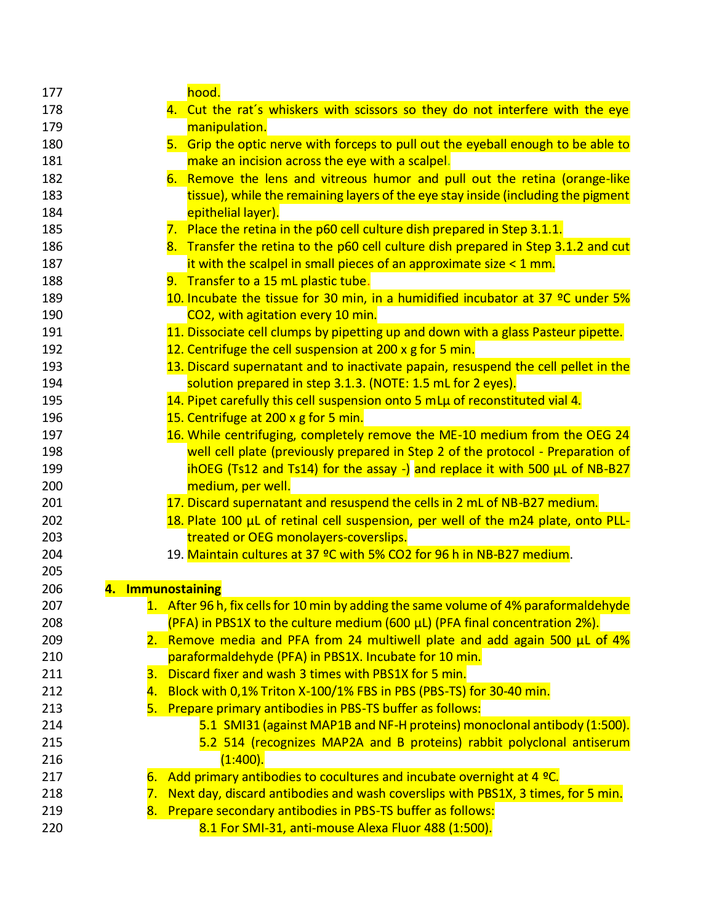| 177       | hood.                                                                                |
|-----------|--------------------------------------------------------------------------------------|
| 178       | 4. Cut the rat's whiskers with scissors so they do not interfere with the eye        |
| 179       | manipulation.                                                                        |
| 180       | 5. Grip the optic nerve with forceps to pull out the eyeball enough to be able to    |
| 181       | make an incision across the eye with a scalpel.                                      |
| 182       | 6. Remove the lens and vitreous humor and pull out the retina (orange-like           |
| 183       | tissue), while the remaining layers of the eye stay inside (including the pigment    |
| 184       | epithelial layer).                                                                   |
| 185       | 7. Place the retina in the p60 cell culture dish prepared in Step 3.1.1.             |
| 186       | 8. Transfer the retina to the p60 cell culture dish prepared in Step 3.1.2 and cut   |
| 187       | it with the scalpel in small pieces of an approximate size $\leq 1$ mm.              |
| 188       | 9. Transfer to a 15 mL plastic tube.                                                 |
| 189       | 10. Incubate the tissue for 30 min, in a humidified incubator at 37 °C under 5%      |
| 190       | CO2, with agitation every 10 min.                                                    |
| 191       | 11. Dissociate cell clumps by pipetting up and down with a glass Pasteur pipette.    |
| 192       | 12. Centrifuge the cell suspension at 200 x g for 5 min.                             |
| 193       | 13. Discard supernatant and to inactivate papain, resuspend the cell pellet in the   |
| 194       | solution prepared in step 3.1.3. (NOTE: 1.5 mL for 2 eyes).                          |
| 195       | 14. Pipet carefully this cell suspension onto 5 mLu of reconstituted vial 4.         |
| 196       | 15. Centrifuge at 200 x g for 5 min.                                                 |
| 197       | 16. While centrifuging, completely remove the ME-10 medium from the OEG 24           |
| 198       | well cell plate (previously prepared in Step 2 of the protocol - Preparation of      |
| 199       | ihOEG (Ts12 and Ts14) for the assay -) and replace it with 500 $\mu$ L of NB-B27     |
| 200       | medium, per well.                                                                    |
| 201       | 17. Discard supernatant and resuspend the cells in 2 mL of NB-B27 medium.            |
| 202       | 18. Plate 100 µL of retinal cell suspension, per well of the m24 plate, onto PLL-    |
| 203       | treated or OEG monolayers-coverslips.                                                |
| 204       | 19. Maintain cultures at 37 °C with 5% CO2 for 96 h in NB-B27 medium.                |
| 205       |                                                                                      |
| 206<br>4. | <b>Immunostaining</b>                                                                |
| 207       | 1. After 96 h, fix cells for 10 min by adding the same volume of 4% paraformaldehyde |
| 208       | (PFA) in PBS1X to the culture medium (600 µL) (PFA final concentration 2%).          |
| 209       | 2. Remove media and PFA from 24 multiwell plate and add again 500 µL of 4%           |
| 210       | paraformaldehyde (PFA) in PBS1X. Incubate for 10 min.                                |
| 211<br>З. | Discard fixer and wash 3 times with PBS1X for 5 min.                                 |
| 212<br>4. | Block with 0,1% Triton X-100/1% FBS in PBS (PBS-TS) for 30-40 min.                   |
| 213       | 5. Prepare primary antibodies in PBS-TS buffer as follows:                           |
| 214       | 5.1 SMI31 (against MAP1B and NF-H proteins) monoclonal antibody (1:500).             |
| 215       | 5.2 514 (recognizes MAP2A and B proteins) rabbit polyclonal antiserum                |
| 216       | (1:400).                                                                             |
| 217<br>6. | Add primary antibodies to cocultures and incubate overnight at 4 °C.                 |
| 218<br>7. | Next day, discard antibodies and wash coverslips with PBS1X, 3 times, for 5 min.     |
| 219<br>8. | Prepare secondary antibodies in PBS-TS buffer as follows:                            |
| 220       | 8.1 For SMI-31, anti-mouse Alexa Fluor 488 (1:500).                                  |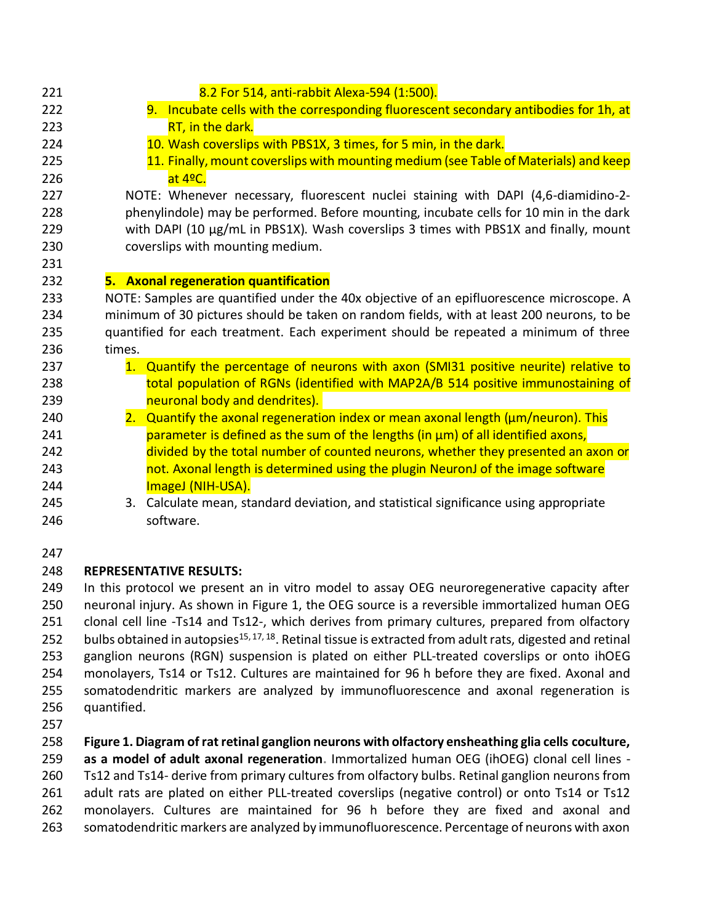| 221           |        | 8.2 For 514, anti-rabbit Alexa-594 (1:500).                                               |
|---------------|--------|-------------------------------------------------------------------------------------------|
| 222           |        | 9. Incubate cells with the corresponding fluorescent secondary antibodies for 1h, at      |
| 223           |        | RT, in the dark.                                                                          |
| 224           |        | 10. Wash coverslips with PBS1X, 3 times, for 5 min, in the dark.                          |
| 225           |        | 11. Finally, mount coverslips with mounting medium (see Table of Materials) and keep      |
| 226           |        | at 4ºC.                                                                                   |
| 227           |        | NOTE: Whenever necessary, fluorescent nuclei staining with DAPI (4,6-diamidino-2-         |
| 228           |        | phenylindole) may be performed. Before mounting, incubate cells for 10 min in the dark    |
| 229           |        | with DAPI (10 µg/mL in PBS1X). Wash coverslips 3 times with PBS1X and finally, mount      |
| 230           |        | coverslips with mounting medium.                                                          |
| 231           |        |                                                                                           |
| 232           |        | 5. Axonal regeneration quantification                                                     |
| 233           |        | NOTE: Samples are quantified under the 40x objective of an epifluorescence microscope. A  |
| 234           |        | minimum of 30 pictures should be taken on random fields, with at least 200 neurons, to be |
| 235           |        | quantified for each treatment. Each experiment should be repeated a minimum of three      |
| 236           | times. |                                                                                           |
| 237           |        | 1. Quantify the percentage of neurons with axon (SMI31 positive neurite) relative to      |
| 238           |        | total population of RGNs (identified with MAP2A/B 514 positive immunostaining of          |
| 239           |        | neuronal body and dendrites).                                                             |
| 240           |        | 2. Quantify the axonal regeneration index or mean axonal length (um/neuron). This         |
| 241           |        | parameter is defined as the sum of the lengths (in µm) of all identified axons,           |
| 242           |        | divided by the total number of counted neurons, whether they presented an axon or         |
| 243           |        | not. Axonal length is determined using the plugin NeuronJ of the image software           |
| 244           |        | ImageJ (NIH-USA).                                                                         |
| 245           |        | 3. Calculate mean, standard deviation, and statistical significance using appropriate     |
| 246           |        | software.                                                                                 |
| $\sim$ $\sim$ |        |                                                                                           |

#### 

#### **REPRESENTATIVE RESULTS:**

 In this protocol we present an in vitro model to assay OEG neuroregenerative capacity after neuronal injury. As shown in Figure 1, the OEG source is a reversible immortalized human OEG clonal cell line -Ts14 and Ts12-, which derives from primary cultures, prepared from olfactory 252 bulbs obtained in autopsies<sup>15, 17, 18</sup>. Retinal tissue is extracted from adult rats, digested and retinal ganglion neurons (RGN) suspension is plated on either PLL-treated coverslips or onto ihOEG monolayers, Ts14 or Ts12. Cultures are maintained for 96 h before they are fixed. Axonal and somatodendritic markers are analyzed by immunofluorescence and axonal regeneration is quantified.

**Figure 1. Diagram of rat retinal ganglion neurons with olfactory ensheathing glia cells coculture,** 

**as a model of adult axonal regeneration.** Immortalized human OEG (ihOEG) clonal cell lines -

Ts12 and Ts14- derive from primary cultures from olfactory bulbs. Retinal ganglion neurons from

adult rats are plated on either PLL-treated coverslips (negative control) or onto Ts14 or Ts12

- monolayers. Cultures are maintained for 96 h before they are fixed and axonal and
- somatodendritic markers are analyzed by immunofluorescence. Percentage of neurons with axon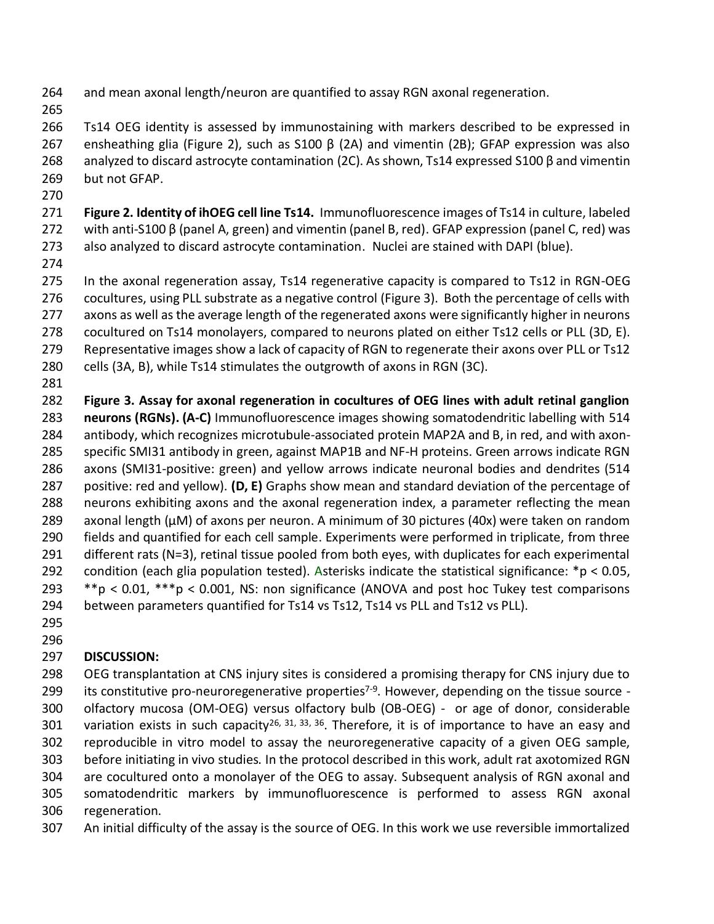and mean axonal length/neuron are quantified to assay RGN axonal regeneration.

 Ts14 OEG identity is assessed by immunostaining with markers described to be expressed in ensheathing glia (Figure 2), such as S100 β (2A) and vimentin (2B); GFAP expression was also analyzed to discard astrocyte contamination (2C). As shown, Ts14 expressed S100 β and vimentin but not GFAP.

 **Figure 2. Identity of ihOEG cell line Ts14.** Immunofluorescence images of Ts14 in culture, labeled with anti-S100 β (panel A, green) and vimentin (panel B, red). GFAP expression (panel C, red) was also analyzed to discard astrocyte contamination. Nuclei are stained with DAPI (blue).

 In the axonal regeneration assay, Ts14 regenerative capacity is compared to Ts12 in RGN-OEG cocultures, using PLL substrate as a negative control (Figure 3). Both the percentage of cells with axons as well as the average length of the regenerated axons were significantly higher in neurons cocultured on Ts14 monolayers, compared to neurons plated on either Ts12 cells or PLL (3D, E). Representative images show a lack of capacity of RGN to regenerate their axons over PLL or Ts12 cells (3A, B), while Ts14 stimulates the outgrowth of axons in RGN (3C).

 **Figure 3. Assay for axonal regeneration in cocultures of OEG lines with adult retinal ganglion neurons (RGNs). (A-C)** Immunofluorescence images showing somatodendritic labelling with 514 antibody, which recognizes microtubule-associated protein MAP2A and B, in red, and with axon- specific SMI31 antibody in green, against MAP1B and NF-H proteins. Green arrows indicate RGN axons (SMI31-positive: green) and yellow arrows indicate neuronal bodies and dendrites (514 positive: red and yellow). **(D, E)** Graphs show mean and standard deviation of the percentage of neurons exhibiting axons and the axonal regeneration index, a parameter reflecting the mean 289 axonal length (µM) of axons per neuron. A minimum of 30 pictures (40x) were taken on random fields and quantified for each cell sample. Experiments were performed in triplicate, from three different rats (N=3), retinal tissue pooled from both eyes, with duplicates for each experimental condition (each glia population tested). Asterisks indicate the statistical significance: \*p < 0.05, \*\*p < 0.01, \*\*\*p < 0.001, NS: non significance (ANOVA and post hoc Tukey test comparisons between parameters quantified for Ts14 vs Ts12, Ts14 vs PLL and Ts12 vs PLL).

 

# **DISCUSSION:**

 OEG transplantation at CNS injury sites is considered a promising therapy for CNS injury due to 299 its constitutive pro-neuroregenerative properties<sup> $7-9$ </sup>. However, depending on the tissue source - olfactory mucosa (OM-OEG) versus olfactory bulb (OB-OEG) - or age of donor, considerable 301 variation exists in such capacity<sup>26, 31, 33, 36</sup>. Therefore, it is of importance to have an easy and reproducible in vitro model to assay the neuroregenerative capacity of a given OEG sample, before initiating in vivo studies. In the protocol described in this work, adult rat axotomized RGN are cocultured onto a monolayer of the OEG to assay. Subsequent analysis of RGN axonal and somatodendritic markers by immunofluorescence is performed to assess RGN axonal regeneration.

An initial difficulty of the assay is the source of OEG. In this work we use reversible immortalized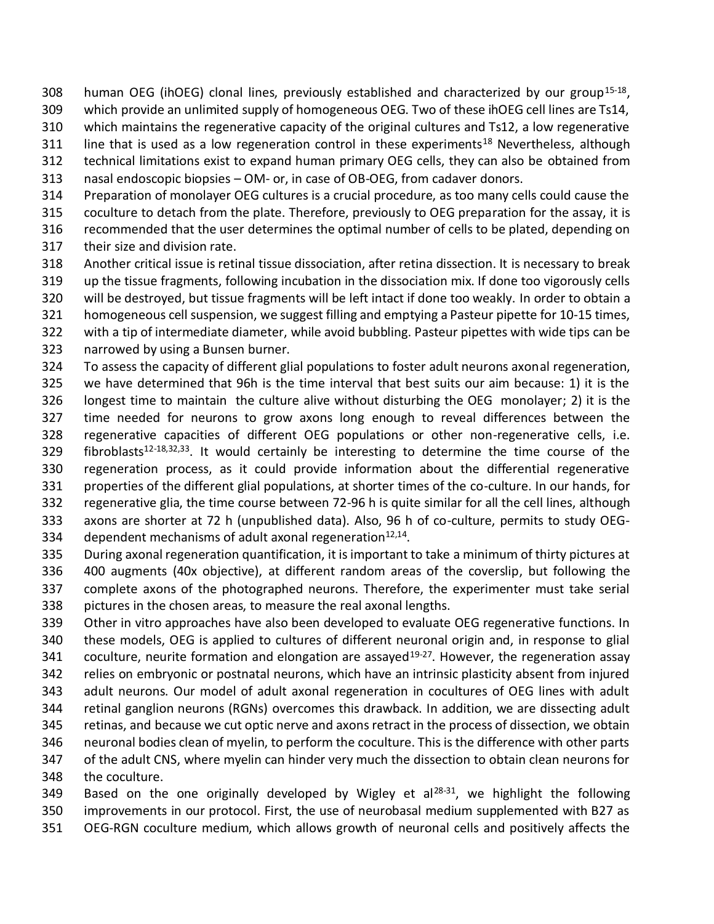308 human OEG (ihOEG) clonal lines, previously established and characterized by our group<sup>15-18</sup>,

which provide an unlimited supply of homogeneous OEG. Two of these ihOEG cell lines are Ts14,

which maintains the regenerative capacity of the original cultures and Ts12, a low regenerative

- 311 Iine that is used as a low regeneration control in these experiments<sup>18</sup> Nevertheless, although
- technical limitations exist to expand human primary OEG cells, they can also be obtained from

nasal endoscopic biopsies – OM- or, in case of OB-OEG, from cadaver donors.

 Preparation of monolayer OEG cultures is a crucial procedure, as too many cells could cause the coculture to detach from the plate. Therefore, previously to OEG preparation for the assay, it is

recommended that the user determines the optimal number of cells to be plated, depending on

- their size and division rate.
- Another critical issue is retinal tissue dissociation, after retina dissection. It is necessary to break
- up the tissue fragments, following incubation in the dissociation mix. If done too vigorously cells
- will be destroyed, but tissue fragments will be left intact if done too weakly. In order to obtain a
- homogeneous cell suspension, we suggest filling and emptying a Pasteur pipette for 10-15 times,
- with a tip of intermediate diameter, while avoid bubbling. Pasteur pipettes with wide tips can be
- narrowed by using a Bunsen burner.
- To assess the capacity of different glial populations to foster adult neurons axonal regeneration, we have determined that 96h is the time interval that best suits our aim because: 1) it is the longest time to maintain the culture alive without disturbing the OEG monolayer; 2) it is the time needed for neurons to grow axons long enough to reveal differences between the regenerative capacities of different OEG populations or other non-regenerative cells, i.e. 329 fibroblasts<sup>12-18,32,33</sup>. It would certainly be interesting to determine the time course of the regeneration process, as it could provide information about the differential regenerative properties of the different glial populations, at shorter times of the co-culture. In our hands, for regenerative glia, the time course between 72-96 h is quite similar for all the cell lines, although axons are shorter at 72 h (unpublished data). Also, 96 h of co-culture, permits to study OEG-334 dependent mechanisms of adult axonal regeneration $12,14$ .
- During axonal regeneration quantification, it is important to take a minimum of thirty pictures at 400 augments (40x objective), at different random areas of the coverslip, but following the complete axons of the photographed neurons. Therefore, the experimenter must take serial pictures in the chosen areas, to measure the real axonal lengths.
- Other in vitro approaches have also been developed to evaluate OEG regenerative functions. In these models, OEG is applied to cultures of different neuronal origin and, in response to glial 341 coculture, neurite formation and elongation are assayed<sup>19-27</sup>. However, the regeneration assay
- relies on embryonic or postnatal neurons, which have an intrinsic plasticity absent from injured
- adult neurons. Our model of adult axonal regeneration in cocultures of OEG lines with adult retinal ganglion neurons (RGNs) overcomes this drawback. In addition, we are dissecting adult
- retinas, and because we cut optic nerve and axons retract in the process of dissection, we obtain

neuronal bodies clean of myelin, to perform the coculture. This is the difference with other parts

- of the adult CNS, where myelin can hinder very much the dissection to obtain clean neurons for
- the coculture.
- 349 Based on the one originally developed by Wigley et al<sup>28-31</sup>, we highlight the following improvements in our protocol. First, the use of neurobasal medium supplemented with B27 as OEG-RGN coculture medium, which allows growth of neuronal cells and positively affects the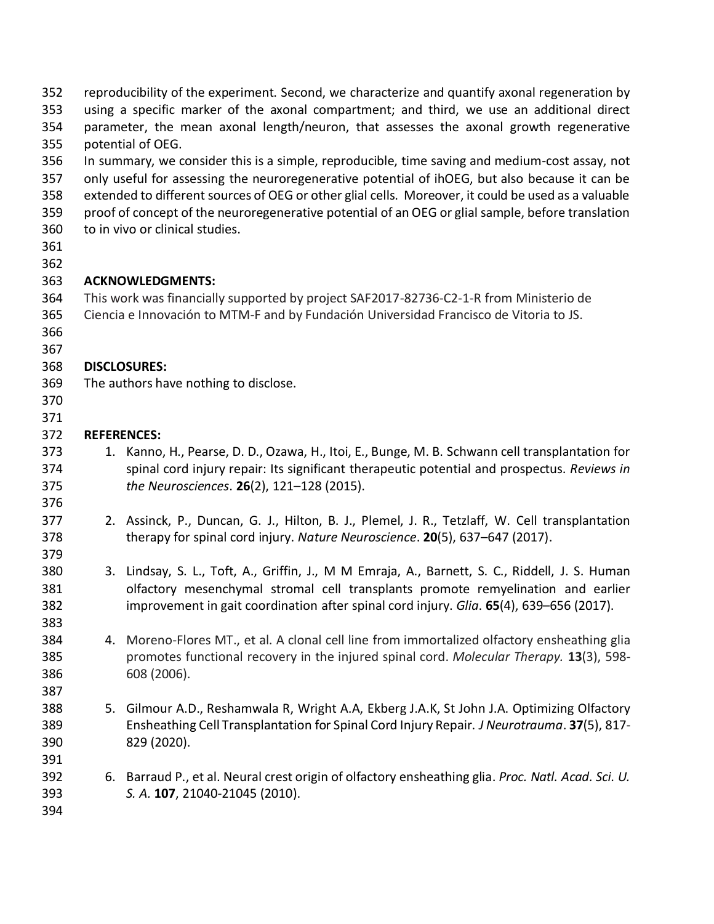| 352<br>353               | reproducibility of the experiment. Second, we characterize and quantify axonal regeneration by<br>using a specific marker of the axonal compartment; and third, we use an additional direct              |                                                                                                                                                                                                         |  |  |  |  |  |
|--------------------------|----------------------------------------------------------------------------------------------------------------------------------------------------------------------------------------------------------|---------------------------------------------------------------------------------------------------------------------------------------------------------------------------------------------------------|--|--|--|--|--|
| 354                      | parameter, the mean axonal length/neuron, that assesses the axonal growth regenerative                                                                                                                   |                                                                                                                                                                                                         |  |  |  |  |  |
| 355<br>356               | potential of OEG.                                                                                                                                                                                        |                                                                                                                                                                                                         |  |  |  |  |  |
| 357                      | In summary, we consider this is a simple, reproducible, time saving and medium-cost assay, not<br>only useful for assessing the neuroregenerative potential of ihOEG, but also because it can be         |                                                                                                                                                                                                         |  |  |  |  |  |
| 358<br>359               | extended to different sources of OEG or other glial cells. Moreover, it could be used as a valuable<br>proof of concept of the neuroregenerative potential of an OEG or glial sample, before translation |                                                                                                                                                                                                         |  |  |  |  |  |
| 360<br>361               |                                                                                                                                                                                                          | to in vivo or clinical studies.                                                                                                                                                                         |  |  |  |  |  |
| 362<br>363               |                                                                                                                                                                                                          | <b>ACKNOWLEDGMENTS:</b>                                                                                                                                                                                 |  |  |  |  |  |
|                          |                                                                                                                                                                                                          |                                                                                                                                                                                                         |  |  |  |  |  |
| 364<br>365<br>366        | This work was financially supported by project SAF2017-82736-C2-1-R from Ministerio de<br>Ciencia e Innovación to MTM-F and by Fundación Universidad Francisco de Vitoria to JS.                         |                                                                                                                                                                                                         |  |  |  |  |  |
|                          |                                                                                                                                                                                                          |                                                                                                                                                                                                         |  |  |  |  |  |
| 367<br>368               |                                                                                                                                                                                                          | <b>DISCLOSURES:</b>                                                                                                                                                                                     |  |  |  |  |  |
| 369                      |                                                                                                                                                                                                          | The authors have nothing to disclose.                                                                                                                                                                   |  |  |  |  |  |
| 370                      |                                                                                                                                                                                                          |                                                                                                                                                                                                         |  |  |  |  |  |
| 371                      |                                                                                                                                                                                                          |                                                                                                                                                                                                         |  |  |  |  |  |
| 372                      | <b>REFERENCES:</b>                                                                                                                                                                                       |                                                                                                                                                                                                         |  |  |  |  |  |
| 373                      | 1.                                                                                                                                                                                                       | Kanno, H., Pearse, D. D., Ozawa, H., Itoi, E., Bunge, M. B. Schwann cell transplantation for                                                                                                            |  |  |  |  |  |
| 374<br>375               |                                                                                                                                                                                                          | spinal cord injury repair: Its significant therapeutic potential and prospectus. Reviews in<br>the Neurosciences. 26(2), 121-128 (2015).                                                                |  |  |  |  |  |
| 376                      |                                                                                                                                                                                                          |                                                                                                                                                                                                         |  |  |  |  |  |
| 377<br>378               |                                                                                                                                                                                                          | 2. Assinck, P., Duncan, G. J., Hilton, B. J., Plemel, J. R., Tetzlaff, W. Cell transplantation<br>therapy for spinal cord injury. Nature Neuroscience. 20(5), 637–647 (2017).                           |  |  |  |  |  |
| 379                      |                                                                                                                                                                                                          |                                                                                                                                                                                                         |  |  |  |  |  |
| 380<br>381               |                                                                                                                                                                                                          | 3. Lindsay, S. L., Toft, A., Griffin, J., M M Emraja, A., Barnett, S. C., Riddell, J. S. Human<br>olfactory mesenchymal stromal cell transplants promote remyelination and earlier                      |  |  |  |  |  |
| 382<br>383               |                                                                                                                                                                                                          | improvement in gait coordination after spinal cord injury. Glia. 65(4), 639-656 (2017).                                                                                                                 |  |  |  |  |  |
| 384                      |                                                                                                                                                                                                          | 4. Moreno-Flores MT., et al. A clonal cell line from immortalized olfactory ensheathing glia                                                                                                            |  |  |  |  |  |
| 385<br>386               |                                                                                                                                                                                                          | promotes functional recovery in the injured spinal cord. Molecular Therapy. 13(3), 598-<br>608 (2006).                                                                                                  |  |  |  |  |  |
| 387                      |                                                                                                                                                                                                          |                                                                                                                                                                                                         |  |  |  |  |  |
| 388<br>389<br>390        |                                                                                                                                                                                                          | 5. Gilmour A.D., Reshamwala R, Wright A.A, Ekberg J.A.K, St John J.A. Optimizing Olfactory<br>Ensheathing Cell Transplantation for Spinal Cord Injury Repair. J Neurotrauma. 37(5), 817-<br>829 (2020). |  |  |  |  |  |
| 391<br>392<br>393<br>394 |                                                                                                                                                                                                          | 6. Barraud P., et al. Neural crest origin of olfactory ensheathing glia. Proc. Natl. Acad. Sci. U.<br>S. A. 107, 21040-21045 (2010).                                                                    |  |  |  |  |  |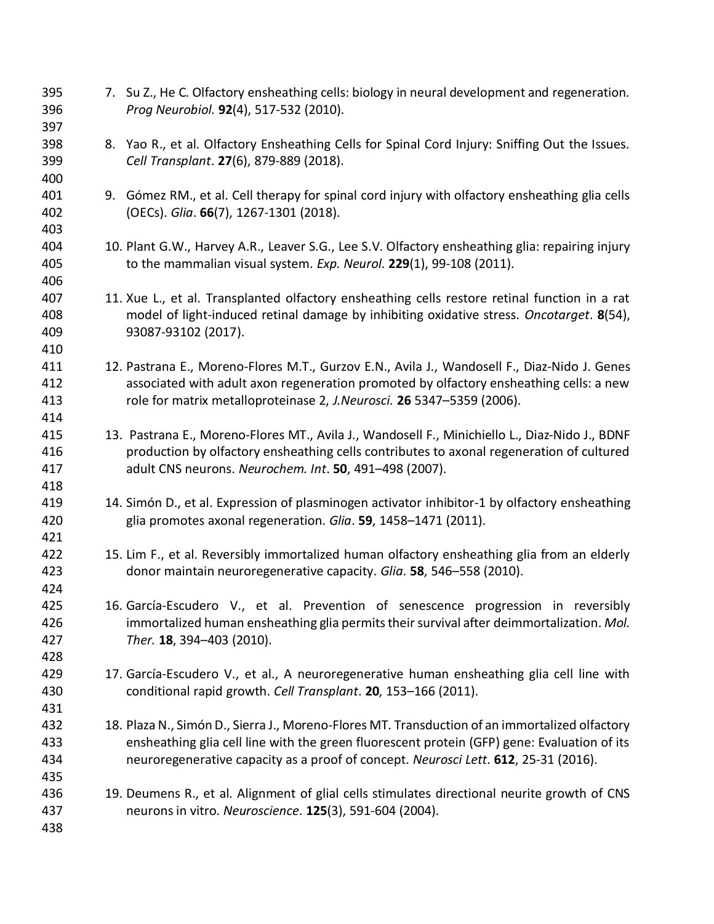7. Su Z., He C. Olfactory ensheathing cells: biology in neural development and regeneration. *Prog Neurobiol.* **92**(4), 517-532 (2010). 8. Yao R., et al. Olfactory Ensheathing Cells for Spinal Cord Injury: Sniffing Out the Issues. *Cell Transplant*. **27**(6), 879-889 (2018). 9. Gómez RM., et al. Cell therapy for spinal cord injury with olfactory ensheathing glia cells (OECs). *Glia*. **66**(7), 1267-1301 (2018). 10. Plant G.W., Harvey A.R., Leaver S.G., Lee S.V. Olfactory ensheathing glia: repairing injury to the mammalian visual system. *Exp. Neurol*. **229**(1), 99-108 (2011). 11. Xue L., et al. Transplanted olfactory ensheathing cells restore retinal function in a rat model of light-induced retinal damage by inhibiting oxidative stress. *Oncotarget*. **8**(54), 93087-93102 (2017). 12. Pastrana E., Moreno-Flores M.T., Gurzov E.N., Avila J., Wandosell F., Diaz-Nido J. Genes associated with adult axon regeneration promoted by olfactory ensheathing cells: a new role for matrix metalloproteinase 2, *J.Neurosci.* **26** 5347–5359 (2006). 13. Pastrana E., Moreno-Flores MT., Avila J., Wandosell F., Minichiello L., Diaz-Nido J., BDNF production by olfactory ensheathing cells contributes to axonal regeneration of cultured adult CNS neurons. *Neurochem. Int*. **50**, 491–498 (2007). 14. Simón D., et al. Expression of plasminogen activator inhibitor-1 by olfactory ensheathing glia promotes axonal regeneration. *Glia*. **59**, 1458–1471 (2011). 15. Lim F., et al. Reversibly immortalized human olfactory ensheathing glia from an elderly donor maintain neuroregenerative capacity. *Glia*. **58**, 546–558 (2010). 16. García-Escudero V., et al. Prevention of senescence progression in reversibly immortalized human ensheathing glia permits their survival after deimmortalization. *Mol. Ther.* **18**, 394–403 (2010). 17. García-Escudero V., et al., A neuroregenerative human ensheathing glia cell line with conditional rapid growth. *Cell Transplant*. **20**, 153–166 (2011). 18. Plaza N., Simón D., Sierra J., Moreno-Flores MT. Transduction of an immortalized olfactory ensheathing glia cell line with the green fluorescent protein (GFP) gene: Evaluation of its neuroregenerative capacity as a proof of concept. *Neurosci Lett*. **612**, 25-31 (2016). 19. Deumens R., et al. Alignment of glial cells stimulates directional neurite growth of CNS neurons in vitro. *Neuroscience*. **125**(3), 591-604 (2004).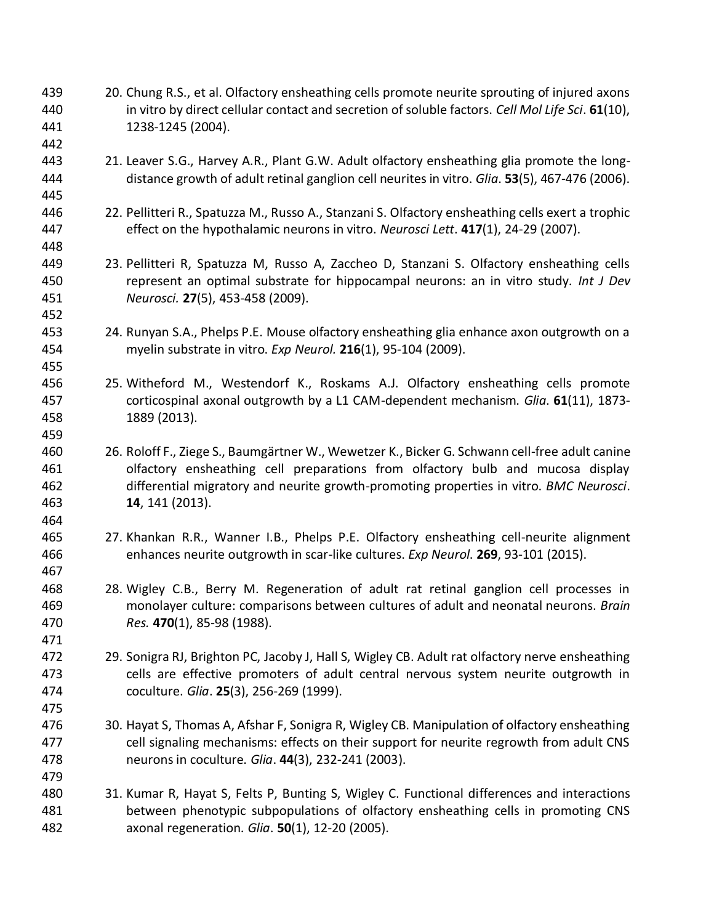20. Chung R.S., et al. Olfactory ensheathing cells promote neurite sprouting of injured axons in vitro by direct cellular contact and secretion of soluble factors. *Cell Mol Life Sci*. **61**(10), 1238-1245 (2004).

- 21. Leaver S.G., Harvey A.R., Plant G.W. Adult olfactory ensheathing glia promote the long-distance growth of adult retinal ganglion cell neurites in vitro. *Glia*. **53**(5), 467-476 (2006).
- 22. Pellitteri R., Spatuzza M., Russo A., Stanzani S. Olfactory ensheathing cells exert a trophic effect on the hypothalamic neurons in vitro. *Neurosci Lett*. **417**(1), 24-29 (2007).
- 23. Pellitteri R, Spatuzza M, Russo A, Zaccheo D, Stanzani S. Olfactory ensheathing cells represent an optimal substrate for hippocampal neurons: an in vitro study. *Int J Dev Neurosci.* **27**(5), 453-458 (2009).
- 24. Runyan S.A., Phelps P.E. Mouse olfactory ensheathing glia enhance axon outgrowth on a myelin substrate in vitro. *Exp Neurol.* **216**(1), 95-104 (2009).
- 25. Witheford M., Westendorf K., Roskams A.J. Olfactory ensheathing cells promote corticospinal axonal outgrowth by a L1 CAM-dependent mechanism. *Glia*. **61**(11), 1873- 1889 (2013).
- 26. Roloff F., Ziege S., Baumgärtner W., Wewetzer K., Bicker G. Schwann cell-free adult canine olfactory ensheathing cell preparations from olfactory bulb and mucosa display differential migratory and neurite growth-promoting properties in vitro. *BMC Neurosci*. **14**, 141 (2013).
- 27. Khankan R.R., Wanner I.B., Phelps P.E. Olfactory ensheathing cell-neurite alignment enhances neurite outgrowth in scar-like cultures. *Exp Neurol*. **269**, 93-101 (2015).
- 28. Wigley C.B., Berry M. Regeneration of adult rat retinal ganglion cell processes in monolayer culture: comparisons between cultures of adult and neonatal neurons. *Brain Res.* **470**(1), 85-98 (1988).
- 29. Sonigra RJ, Brighton PC, Jacoby J, Hall S, Wigley CB. Adult rat olfactory nerve ensheathing cells are effective promoters of adult central nervous system neurite outgrowth in coculture. *Glia*. **25**(3), 256-269 (1999).
- 30. Hayat S, Thomas A, Afshar F, Sonigra R, Wigley CB. Manipulation of olfactory ensheathing cell signaling mechanisms: effects on their support for neurite regrowth from adult CNS neurons in coculture. *Glia*. **44**(3), 232-241 (2003).
- 31. Kumar R, Hayat S, Felts P, Bunting S, Wigley C. Functional differences and interactions between phenotypic subpopulations of olfactory ensheathing cells in promoting CNS axonal regeneration. *Glia*. **50**(1), 12-20 (2005).